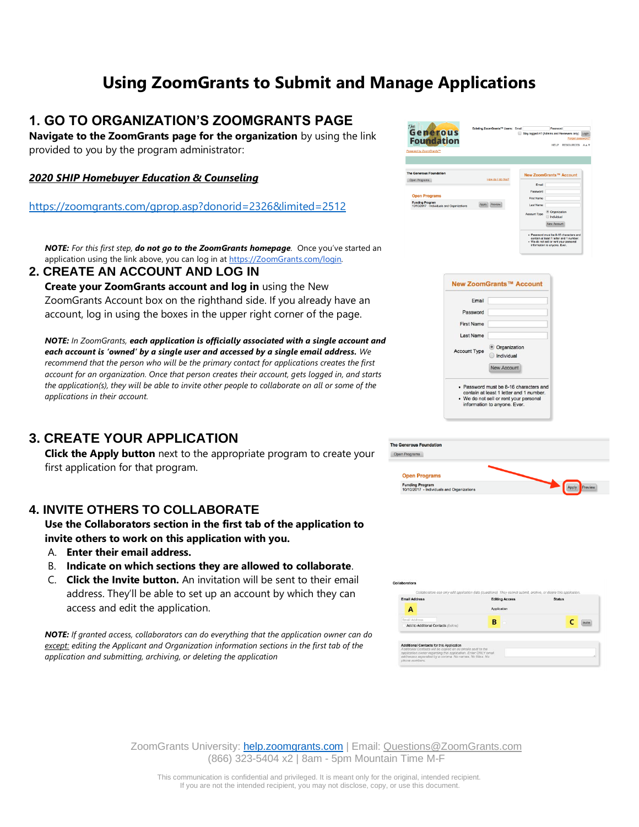# **Using ZoomGrants to Submit and Manage Applications**

### **1. GO TO ORGANIZATION'S ZOOMGRANTS PAGE**

**Navigate to the ZoomGrants page for the organization** by using the link provided to you by the program administrator:

#### *2020 SHIP Homebuyer Education & Counseling*

<https://zoomgrants.com/gprop.asp?donorid=2326&limited=2512>

*NOTE: For this first step, do not go to the ZoomGrants homepage.* Once you've started an application using the link above, you can log in at [https://ZoomGrants.com/login](https://zoomgrants.com/login)*.*

**2. CREATE AN ACCOUNT AND LOG IN Create your ZoomGrants account and log in** using the New ZoomGrants Account box on the righthand side. If you already have an account, log in using the boxes in the upper right corner of the page.

*NOTE: In ZoomGrants, each application is officially associated with a single account and each account is 'owned' by a single user and accessed by a single email address. We recommend that the person who will be the primary contact for applications creates the first account for an organization. Once that person creates their account, gets logged in, and starts the application(s), they will be able to invite other people to collaborate on all or some of the applications in their account.* 

## **3. CREATE YOUR APPLICATION**

**Click the Apply button** next to the appropriate program to create your first application for that program.

#### **4. INVITE OTHERS TO COLLABORATE**

**Use the Collaborators section in the first tab of the application to invite others to work on this application with you.** 

- A. **Enter their email address.**
- B. **Indicate on which sections they are allowed to collaborate**.
- C. **Click the Invite button.** An invitation will be sent to their email address. They'll be able to set up an account by which they can access and edit the application.

*NOTE: If granted access, collaborators can do everything that the application owner can do except: editing the Applicant and Organization information sections in the first tab of the application and submitting, archiving, or deleting the application*





| <b>The Generous Foundation</b><br>Open Programs                      |         |
|----------------------------------------------------------------------|---------|
| <b>Open Programs</b>                                                 |         |
| <b>Funding Program</b><br>10/10/2017 - Individuals and Organizations | Praview |



ZoomGrants University: **[help.zoomgrants.com](http://help.zoomgrants.com/)** | Email: [Questions@ZoomGrants.com](mailto:Questions@ZoomGrants.com) (866) 323-5404 x2 | 8am - 5pm Mountain Time M-F

This communication is confidential and privileged. It is meant only for the original, intended recipient. If you are not the intended recipient, you may not disclose, copy, or use this document.